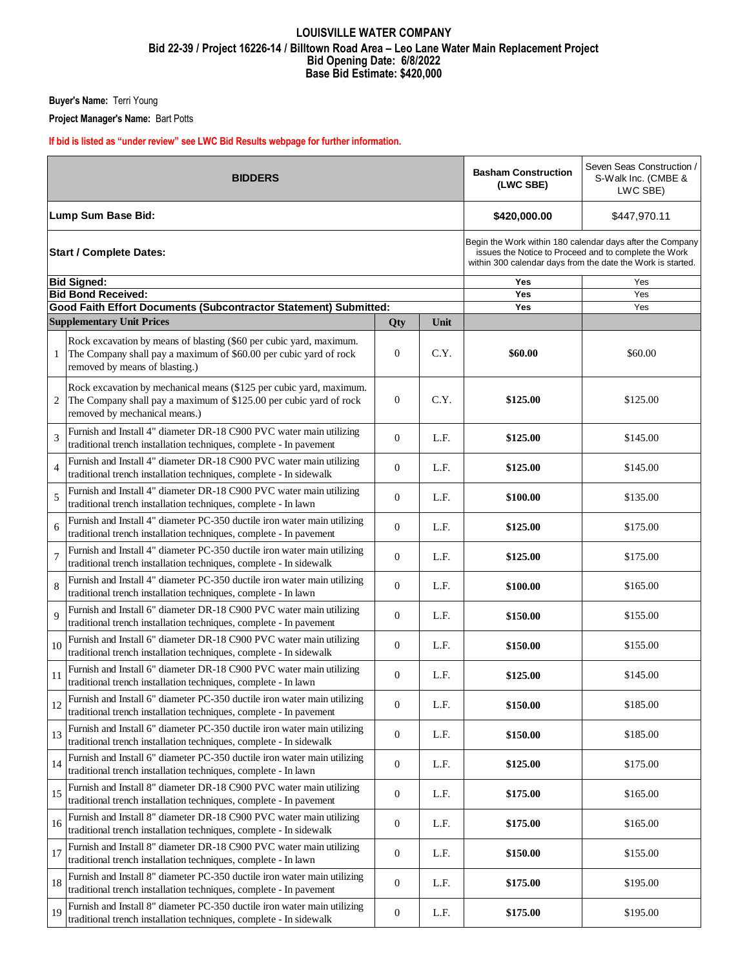## **LOUISVILLE WATER COMPANY Bid 22-39 / Project 16226-14 / Billtown Road Area – Leo Lane Water Main Replacement Project Bid Opening Date: 6/8/2022 Base Bid Estimate: \$420,000**

**Buyer's Name:** Terri Young

**Project Manager's Name:** Bart Potts

**If bid is listed as "under review" see LWC Bid Results webpage for further information.**

|                | <b>BIDDERS</b>                                                                                                                                                             | <b>Basham Construction</b><br>(LWC SBE)                                                                                                                                           | Seven Seas Construction /<br>S-Walk Inc. (CMBE &<br>LWC SBE) |          |          |
|----------------|----------------------------------------------------------------------------------------------------------------------------------------------------------------------------|-----------------------------------------------------------------------------------------------------------------------------------------------------------------------------------|--------------------------------------------------------------|----------|----------|
|                | Lump Sum Base Bid:                                                                                                                                                         | \$420,000.00                                                                                                                                                                      | \$447,970.11                                                 |          |          |
|                | <b>Start / Complete Dates:</b>                                                                                                                                             | Begin the Work within 180 calendar days after the Company<br>issues the Notice to Proceed and to complete the Work<br>within 300 calendar days from the date the Work is started. |                                                              |          |          |
|                | <b>Bid Signed:</b>                                                                                                                                                         |                                                                                                                                                                                   |                                                              | Yes      | Yes      |
|                | <b>Bid Bond Received:</b>                                                                                                                                                  |                                                                                                                                                                                   |                                                              | Yes      | Yes      |
|                | Good Faith Effort Documents (Subcontractor Statement) Submitted:                                                                                                           |                                                                                                                                                                                   |                                                              | Yes      | Yes      |
|                | <b>Supplementary Unit Prices</b>                                                                                                                                           | Qty                                                                                                                                                                               | Unit                                                         |          |          |
| 1              | Rock excavation by means of blasting (\$60 per cubic yard, maximum.<br>The Company shall pay a maximum of \$60.00 per cubic yard of rock<br>removed by means of blasting.) | $\overline{0}$                                                                                                                                                                    | C.Y.                                                         | \$60.00  | \$60.00  |
| 2              | Rock excavation by mechanical means (\$125 per cubic yard, maximum.<br>The Company shall pay a maximum of \$125.00 per cubic yard of rock<br>removed by mechanical means.) | $\theta$                                                                                                                                                                          | C.Y.                                                         | \$125.00 | \$125.00 |
| 3              | Furnish and Install 4" diameter DR-18 C900 PVC water main utilizing<br>traditional trench installation techniques, complete - In pavement                                  | $\overline{0}$                                                                                                                                                                    | L.F.                                                         | \$125.00 | \$145.00 |
| $\overline{4}$ | Furnish and Install 4" diameter DR-18 C900 PVC water main utilizing<br>traditional trench installation techniques, complete - In sidewalk                                  | $\theta$                                                                                                                                                                          | L.F.                                                         | \$125.00 | \$145.00 |
| 5              | Furnish and Install 4" diameter DR-18 C900 PVC water main utilizing<br>traditional trench installation techniques, complete - In lawn                                      | $\theta$                                                                                                                                                                          | L.F.                                                         | \$100.00 | \$135.00 |
| 6              | Furnish and Install 4" diameter PC-350 ductile iron water main utilizing<br>traditional trench installation techniques, complete - In pavement                             | $\overline{0}$                                                                                                                                                                    | L.F.                                                         | \$125.00 | \$175.00 |
| 7              | Furnish and Install 4" diameter PC-350 ductile iron water main utilizing<br>traditional trench installation techniques, complete - In sidewalk                             | $\theta$                                                                                                                                                                          | L.F.                                                         | \$125.00 | \$175.00 |
| 8              | Furnish and Install 4" diameter PC-350 ductile iron water main utilizing<br>traditional trench installation techniques, complete - In lawn                                 | $\theta$                                                                                                                                                                          | L.F.                                                         | \$100.00 | \$165.00 |
| 9              | Furnish and Install 6" diameter DR-18 C900 PVC water main utilizing<br>traditional trench installation techniques, complete - In pavement                                  | $\overline{0}$                                                                                                                                                                    | L.F.                                                         | \$150.00 | \$155.00 |
| 10             | Furnish and Install 6" diameter DR-18 C900 PVC water main utilizing<br>traditional trench installation techniques, complete - In sidewalk                                  | $\theta$                                                                                                                                                                          | L.F.                                                         | \$150.00 | \$155.00 |
| 11             | Furnish and Install 6" diameter DR-18 C900 PVC water main utilizing<br>traditional trench installation techniques, complete - In lawn                                      | $\overline{0}$                                                                                                                                                                    | L.F.                                                         | \$125.00 | \$145.00 |
| 12             | Furnish and Install 6" diameter PC-350 ductile iron water main utilizing<br>traditional trench installation techniques, complete - In pavement                             | $\boldsymbol{0}$                                                                                                                                                                  | L.F.                                                         | \$150.00 | \$185.00 |
| 13             | Furnish and Install 6" diameter PC-350 ductile iron water main utilizing<br>traditional trench installation techniques, complete - In sidewalk                             | $\mathbf{0}$                                                                                                                                                                      | L.F.                                                         | \$150.00 | \$185.00 |
| 14             | Furnish and Install 6" diameter PC-350 ductile iron water main utilizing<br>traditional trench installation techniques, complete - In lawn                                 | $\mathbf{0}$                                                                                                                                                                      | L.F.                                                         | \$125.00 | \$175.00 |
| 15             | Furnish and Install 8" diameter DR-18 C900 PVC water main utilizing<br>traditional trench installation techniques, complete - In pavement                                  | $\mathbf{0}$                                                                                                                                                                      | L.F.                                                         | \$175.00 | \$165.00 |
| 16             | Furnish and Install 8" diameter DR-18 C900 PVC water main utilizing<br>traditional trench installation techniques, complete - In sidewalk                                  | $\mathbf{0}$                                                                                                                                                                      | L.F.                                                         | \$175.00 | \$165.00 |
| 17             | Furnish and Install 8" diameter DR-18 C900 PVC water main utilizing<br>traditional trench installation techniques, complete - In lawn                                      | $\mathbf{0}$                                                                                                                                                                      | L.F.                                                         | \$150.00 | \$155.00 |
| 18             | Furnish and Install 8" diameter PC-350 ductile iron water main utilizing<br>traditional trench installation techniques, complete - In pavement                             | $\boldsymbol{0}$                                                                                                                                                                  | L.F.                                                         | \$175.00 | \$195.00 |
| 19             | Furnish and Install 8" diameter PC-350 ductile iron water main utilizing<br>traditional trench installation techniques, complete - In sidewalk                             | $\boldsymbol{0}$                                                                                                                                                                  | L.F.                                                         | \$175.00 | \$195.00 |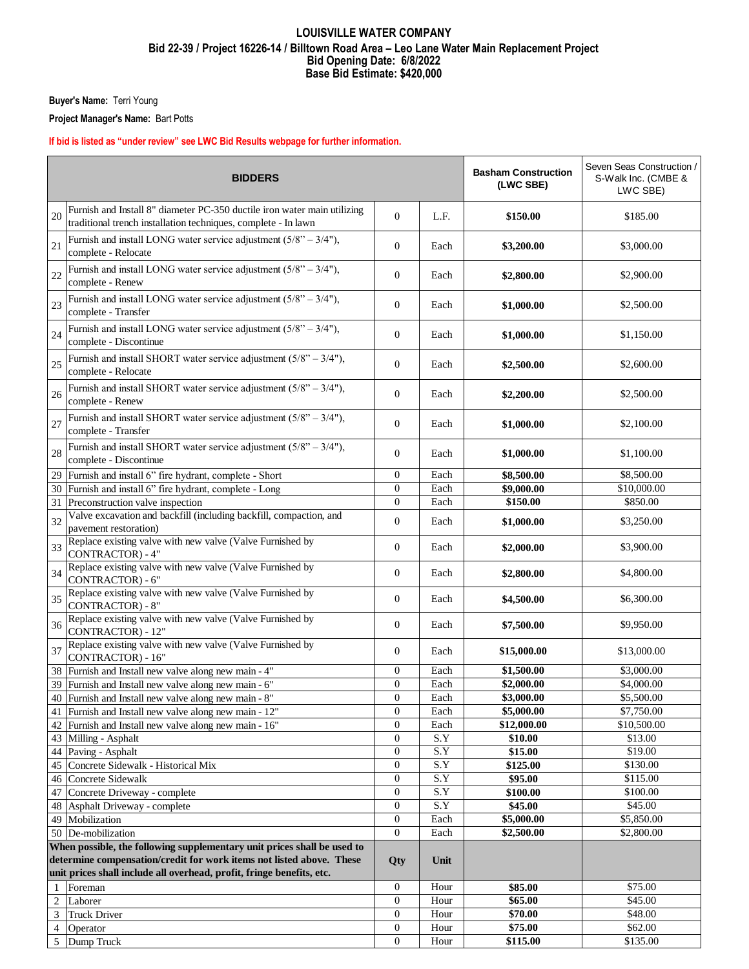## **LOUISVILLE WATER COMPANY Bid 22-39 / Project 16226-14 / Billtown Road Area – Leo Lane Water Main Replacement Project Bid Opening Date: 6/8/2022 Base Bid Estimate: \$420,000**

**Buyer's Name:** Terri Young

**Project Manager's Name:** Bart Potts

## **If bid is listed as "under review" see LWC Bid Results webpage for further information.**

| <b>BIDDERS</b>                                                                      |                                                                                                                                                |                  |              | <b>Basham Construction</b><br>(LWC SBE) | Seven Seas Construction /<br>S-Walk Inc. (CMBE &<br>LWC SBE) |  |  |
|-------------------------------------------------------------------------------------|------------------------------------------------------------------------------------------------------------------------------------------------|------------------|--------------|-----------------------------------------|--------------------------------------------------------------|--|--|
| 20                                                                                  | Furnish and Install 8" diameter PC-350 ductile iron water main utilizing<br>traditional trench installation techniques, complete - In lawn     | $\theta$         | L.F.         | \$150.00                                | \$185.00                                                     |  |  |
| 21                                                                                  | Furnish and install LONG water service adjustment $(5/8" - 3/4")$ ,<br>complete - Relocate                                                     | $\mathbf{0}$     | Each         | \$3,200.00                              | \$3,000.00                                                   |  |  |
| 22                                                                                  | Furnish and install LONG water service adjustment $(5/8" - 3/4")$ ,<br>complete - Renew                                                        | $\mathbf{0}$     | Each         | \$2,800.00                              | \$2,900.00                                                   |  |  |
| 23                                                                                  | Furnish and install LONG water service adjustment $(5/8 - 3/4)$ ,<br>complete - Transfer                                                       | $\mathbf{0}$     | Each         | \$1,000.00                              | \$2,500.00                                                   |  |  |
| 24                                                                                  | Furnish and install LONG water service adjustment $(5/8" - 3/4")$ ,<br>complete - Discontinue                                                  | $\mathbf{0}$     | Each         | \$1,000.00                              | \$1,150.00                                                   |  |  |
| 25                                                                                  | Furnish and install SHORT water service adjustment $(5/8" - 3/4")$ ,<br>complete - Relocate                                                    | $\mathbf{0}$     | Each         | \$2,500.00                              | \$2,600.00                                                   |  |  |
| 26                                                                                  | Furnish and install SHORT water service adjustment $(5/8" - 3/4")$ ,<br>complete - Renew                                                       | $\mathbf{0}$     | Each         | \$2,200.00                              | \$2,500.00                                                   |  |  |
| 27                                                                                  | Furnish and install SHORT water service adjustment $(5/8" - 3/4")$ ,<br>complete - Transfer                                                    | $\mathbf{0}$     | Each         | \$1,000.00                              | \$2,100.00                                                   |  |  |
| 28                                                                                  | Furnish and install SHORT water service adjustment $(5/8" - 3/4")$ ,<br>complete - Discontinue                                                 | 0                | Each         | \$1,000.00                              | \$1,100.00                                                   |  |  |
|                                                                                     | 29 Furnish and install 6" fire hydrant, complete - Short                                                                                       | $\boldsymbol{0}$ | Each         | \$8,500.00                              | \$8,500.00                                                   |  |  |
|                                                                                     | 30 Furnish and install 6" fire hydrant, complete - Long                                                                                        | $\boldsymbol{0}$ | Each         | $\overline{\$9,000.00}$                 | \$10,000.00                                                  |  |  |
|                                                                                     | 31 Preconstruction valve inspection                                                                                                            | 0                | Each         | \$150.00                                | \$850.00                                                     |  |  |
| 32                                                                                  | Valve excavation and backfill (including backfill, compaction, and<br>pavement restoration)                                                    | $\mathbf{0}$     | Each         | \$1,000.00                              | \$3,250.00                                                   |  |  |
| 33                                                                                  | Replace existing valve with new valve (Valve Furnished by<br>CONTRACTOR) - 4"                                                                  | $\mathbf{0}$     | Each         | \$2,000.00                              | \$3,900.00                                                   |  |  |
| 34                                                                                  | Replace existing valve with new valve (Valve Furnished by<br>CONTRACTOR) - 6"                                                                  | 0                | Each         | \$2,800.00                              | \$4,800.00                                                   |  |  |
| 35                                                                                  | Replace existing valve with new valve (Valve Furnished by<br><b>CONTRACTOR) - 8"</b>                                                           | $\mathbf{0}$     | Each         | \$4,500.00                              | \$6,300.00                                                   |  |  |
| 36                                                                                  | Replace existing valve with new valve (Valve Furnished by<br><b>CONTRACTOR) - 12"</b>                                                          | $\overline{0}$   | Each         | \$7,500.00                              | \$9,950.00                                                   |  |  |
| 37                                                                                  | Replace existing valve with new valve (Valve Furnished by<br><b>CONTRACTOR</b> ) - 16"<br>38 Furnish and Install new valve along new main - 4" | 0<br>0           | Each<br>Each | \$15,000.00<br>\$1,500.00               | \$13,000.00<br>\$3,000.00                                    |  |  |
|                                                                                     |                                                                                                                                                |                  |              |                                         |                                                              |  |  |
|                                                                                     | 39 Furnish and Install new valve along new main - 6"                                                                                           | $\boldsymbol{0}$ | Each         | \$2,000.00                              | \$4,000.00                                                   |  |  |
|                                                                                     | 40 Furnish and Install new valve along new main - 8"                                                                                           | $\boldsymbol{0}$ | Each         | \$3,000.00                              | \$5,500.00                                                   |  |  |
|                                                                                     | 41 Furnish and Install new valve along new main - 12"                                                                                          | $\mathbf{0}$     | Each         | \$5,000.00                              | \$7,750.00                                                   |  |  |
|                                                                                     | 42 Furnish and Install new valve along new main - 16"                                                                                          | $\boldsymbol{0}$ | Each         | \$12,000.00                             | \$10,500.00                                                  |  |  |
|                                                                                     | 43 Milling - Asphalt                                                                                                                           | $\boldsymbol{0}$ | S.Y          | \$10.00                                 | \$13.00                                                      |  |  |
|                                                                                     | 44 Paving - Asphalt                                                                                                                            | 0                | S.Y          | \$15.00                                 | \$19.00                                                      |  |  |
|                                                                                     | 45 Concrete Sidewalk - Historical Mix                                                                                                          | $\boldsymbol{0}$ | S.Y          | \$125.00                                | \$130.00                                                     |  |  |
|                                                                                     | 46 Concrete Sidewalk                                                                                                                           | $\overline{0}$   | S.Y          | \$95.00                                 | \$115.00                                                     |  |  |
|                                                                                     | 47 Concrete Driveway - complete                                                                                                                | $\boldsymbol{0}$ | S.Y          | \$100.00                                | \$100.00                                                     |  |  |
|                                                                                     | 48 Asphalt Driveway - complete                                                                                                                 | $\boldsymbol{0}$ | S.Y          | \$45.00                                 | \$45.00                                                      |  |  |
|                                                                                     | 49 Mobilization                                                                                                                                | $\boldsymbol{0}$ | Each         | \$5,000.00                              | \$5,850.00                                                   |  |  |
|                                                                                     | 50 De-mobilization                                                                                                                             | $\overline{0}$   | Each         | \$2,500.00                              | \$2,800.00                                                   |  |  |
|                                                                                     | When possible, the following supplementary unit prices shall be used to                                                                        |                  |              |                                         |                                                              |  |  |
| determine compensation/credit for work items not listed above. These<br>Unit<br>Qty |                                                                                                                                                |                  |              |                                         |                                                              |  |  |
|                                                                                     | unit prices shall include all overhead, profit, fringe benefits, etc.                                                                          |                  |              |                                         |                                                              |  |  |
| 1                                                                                   | Foreman                                                                                                                                        | $\boldsymbol{0}$ | Hour         | \$85.00                                 | \$75.00                                                      |  |  |
|                                                                                     | 2 Laborer                                                                                                                                      | $\boldsymbol{0}$ | Hour         | \$65.00                                 | \$45.00                                                      |  |  |
| 3                                                                                   | <b>Truck Driver</b>                                                                                                                            | $\mathbf{0}$     | Hour         | \$70.00                                 | \$48.00                                                      |  |  |
| 4                                                                                   | Operator                                                                                                                                       | 0                | Hour         | \$75.00                                 | \$62.00                                                      |  |  |
|                                                                                     | 5 Dump Truck                                                                                                                                   | $\overline{0}$   | Hour         | \$115.00                                | \$135.00                                                     |  |  |